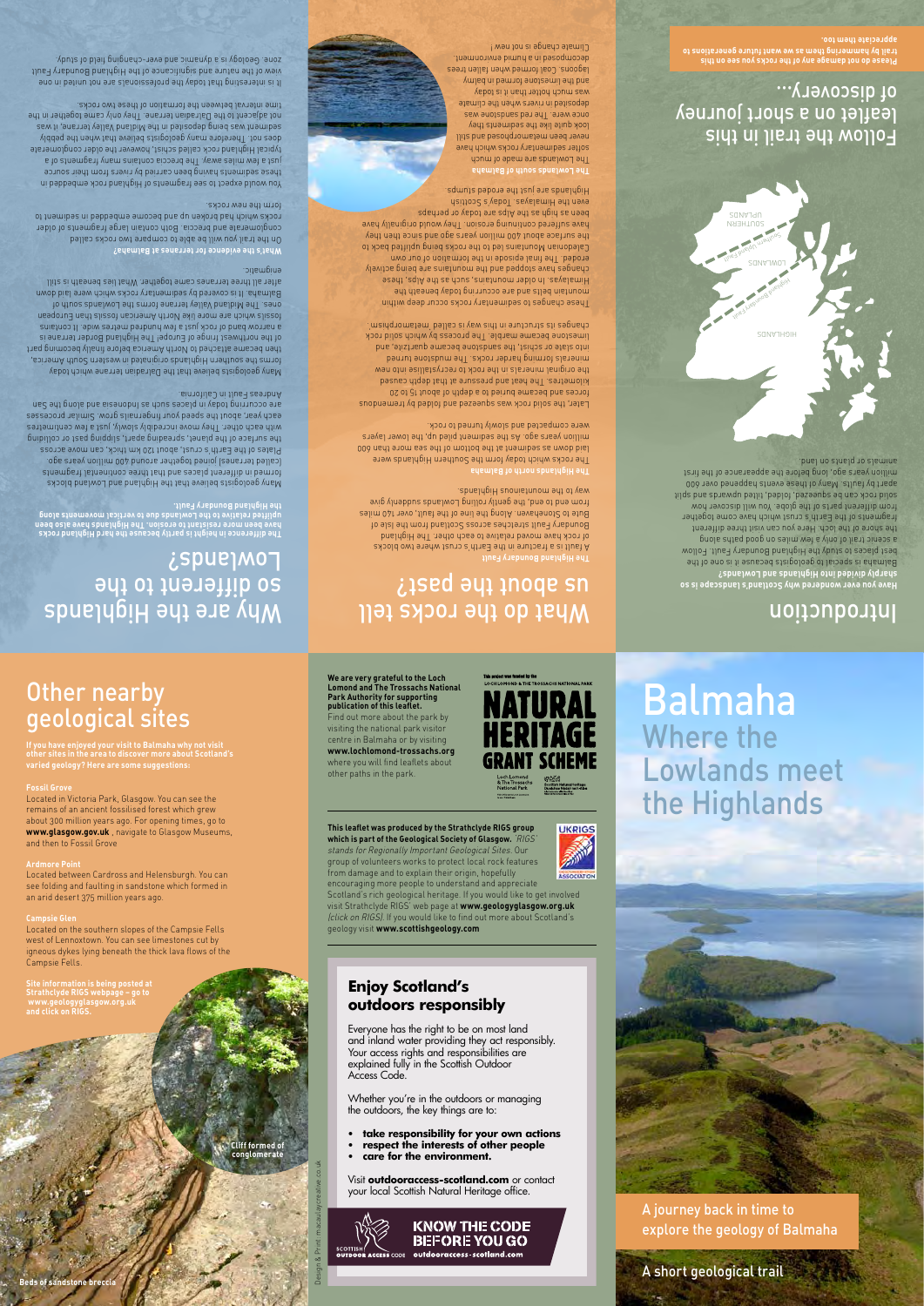## Introduction

## What do the rocks tell  $i$ sed əy $i$  inoqe sn

**Have you ever wondered why Scotland's landscape is so sharply divided into Highlands and Lowlands?**  Balmaha is special to geologists because it is one of the best places to study the Highland Boundary Fault. Follow a scenic trail of only a few miles on good paths along the shore of the loch. Here you can visit three different fragments of the Earth's crust which have come together from different parts of the globe. You will discover how solid rock can be squeezed, folded, tilted upwards and split apart by faults. Many of these events happened over 600 million years ago, long before the appearance of the first animals or plants on land.

A fault is a fracture in the Earth's crust where two blocks of rock have moved relative to each other. The Highland Boundary Fault stretches across Scotland from the Isle of Bute to Stonehaven. Along the line of the fault, over 140 miles frow end to end, the gently rolling Lowlands shoop give way to the mounistmental Highlands.

### **The Highland Boundary Fault**

IATURAL

**NT SCHEME** 

Later, the solid rock was spue based and folded by the modous forces and became buried to a depth of about 15 to 20 kilometres. The heat and pressure at that depth caused the original minerals in the rock to recrystallise into new minerals forming harder rocks. The mudstone turned into slate or schist, the sandstone became quartzite, and limestone became marble. The process by which solid rock changes its structure in this way is called 'metamorphism'.

**The Highlands north of Balmaha** The rocks which today form the Southern Highlands were laid down as sediment at the bottom of the sea more than 600 million years ago. As the sediment piled up, the lower layers were compacted and slowly turned to rock.

Highlands are just the erodes redening. **The Lowlands south of Balmaha**

The Lowlands are about no day softer sedimentary rocks which have never been metamorphosed and still look quite like the sediments they once were. The red sandstone was deposited in rivers when the climate was much hotter than it is today and the limestone formed in balmy lagoons. Coal formed when fallen trees decomposed in a humid environment. Climate change is not new !

These changes to sedimentary rocks occur deep within mountain belts and are occurring today beneath the Himalayas. In older mountains, as the Alps, such a settlements changes have stopped and the mountains are being actively eroded. The final episode in the formation own Caledonian Mountains led to the rocks band uplifted back to the surface about 400 million years ago and since then they have suffered continuing erosion. They would originally have been as high as the Alps are today or perhaps even the Himalayas. Today's Scottish

On the trail you will be able to compare two rocks called conglomerate and breccia. Both contain large fragments of older rocks which had broken up and become embedded in sediment to

You would expect to see fragments of Highland rock embedded in these sediments having been carried by rivers from their source just a few miles away. The breccia contains many fragments of a typical Highland rock called schist, however the older conglomerate does not. Therefore many geologists believe that when the pebbly sediment was being deposited in the Midland Valley terrane, it was not adjacent to the Dalradian terrane. They only came together in the

It is interesting that today the professionals are not united in one view of the nature and significance of the Highland Boundary Fault zone<sup>.</sup> Geology is a dynamic and ever-changing the day.

so different to the

Lowland*s* 

**The difference in height is partly because the hard Highland rocks have been more resistant to erosion. The Highlands have also been uplifted relative to the Lowlands due to vertical movements along** 

Many geologists believe that the Highland brocks formed in different places and that three continental fragments (called terranes) joined together around 400 million years ago. Plates of the Earth's crust, about 120 km thick, can move across the surface of the planet, spreading apart, single past or colliding paral with each other. I hey move incredibly slowly, just a few centimetres each year, about the speed your fingernails grow. Similar processes are occurring today in places and are in places and along the San Indonesia and along the San Indonesia and a

**Fossil Grov** Located in Victoria Park, Glasgow. You can see the **www.glasgow.gov.uk** , navigate to Glasgow Museums,

**the Highland Boundary Fault.** 

Andreas Fault in California.

Many geologists believe that the Dalradian terrane which today forms the southern Highlands originated in western South America, then became attached to North America before finally becoming part of the northwest fringe of Europe! The Highland Border terrane is a narrow band of rock just a few hundred metres wide. It contains fossils which are more like North American fossils than European ones. The Midland Valley terrane forms the Lowlands south of Balmaha. It is covered by sedimentary rocks which were laid down after all three terranes came together. What lies beneath is still

enigmatic.

**What's the evidence for terranes at Balmaha?**

form the new rocks.

time interval between the formation of these two rocks.



**Please do not damage any of the rocks you see on this trail by hammering them as we want future generations to appreciate them too.**



ASSOCIATIO



A journey back in time to explore the geology of Balmaha

A short geological trail

### Follow the trail in this leaflet on a short journey of discovery...

**Cliff formed of conglomerate**

### Other nearby geological sites

Why are the Highlands

# **If you have enjoyed your visit to Balmaha why not visit**

**other sites in the area to discover more about Scotland's** 

**varied geology? Here are some suggestions:**

remains of an ancient fossilised forest which grew about 300 million years ago. For opening times, go to and then to Fossil Grove

### **Ardmore Point**

Located between Cardross and Helensburgh. You can see folding and faulting in sandstone which formed in an arid desert 375 million years ago.

**Campsie Glen** Located on the southern slopes of the Campsie Fells west of Lennoxtown. You can see limestones cut by

igneous dykes lying beneath the thick lava flows of the Campsie Fells.

### **Site information is being posted at**

**Strathclyde RIGS webpage – go to www.geologyglasgow.org.uk and click on RIGS.**

**We are very grateful to the Loch Lomond and The Trossachs National Park Authority for supporting publication of this leaflet.**  Find out more about the park by visiting the national park visitor centre in Balmaha or by visiting **www.lochlomond-trossachs.org** where you will find leaflets about other paths in the park.

**This leaflet was produced by the Strathclyde RIGS group which is part of the Geological Society of Glasgow.** 'RIGS' stands for Regionally Important Geological Sites. Our group of volunteers works to protect local rock features from damage and to explain their origin, hopefully encouraging more people to understand and appreciate

Scotland's rich geological heritage. If you would like to get involved visit Strathclyde RIGS' web page at **www.geologyglasgow.org.uk**  (click on RIGS). If you would like to find out more about Scotland's

geology visit **www.scottishgeology.com**

**Enjoy Scotland's outdoors responsibly**

Everyone has the right to be on most land and inland water providing they act responsibly. Your access rights and responsibilities are explained fully in the Scottish Outdoor Access Code.

Whether you're in the outdoors or managing the outdoors, the key things are to:

- **• take responsibility for your own actions**
- **• respect the interests of other people**
- **• care for the environment.**

Visit **outdooraccess-scotland.com** or contact your local Scottish Natural Heritage office.





Design & Print: macaulaycreative.co.uk